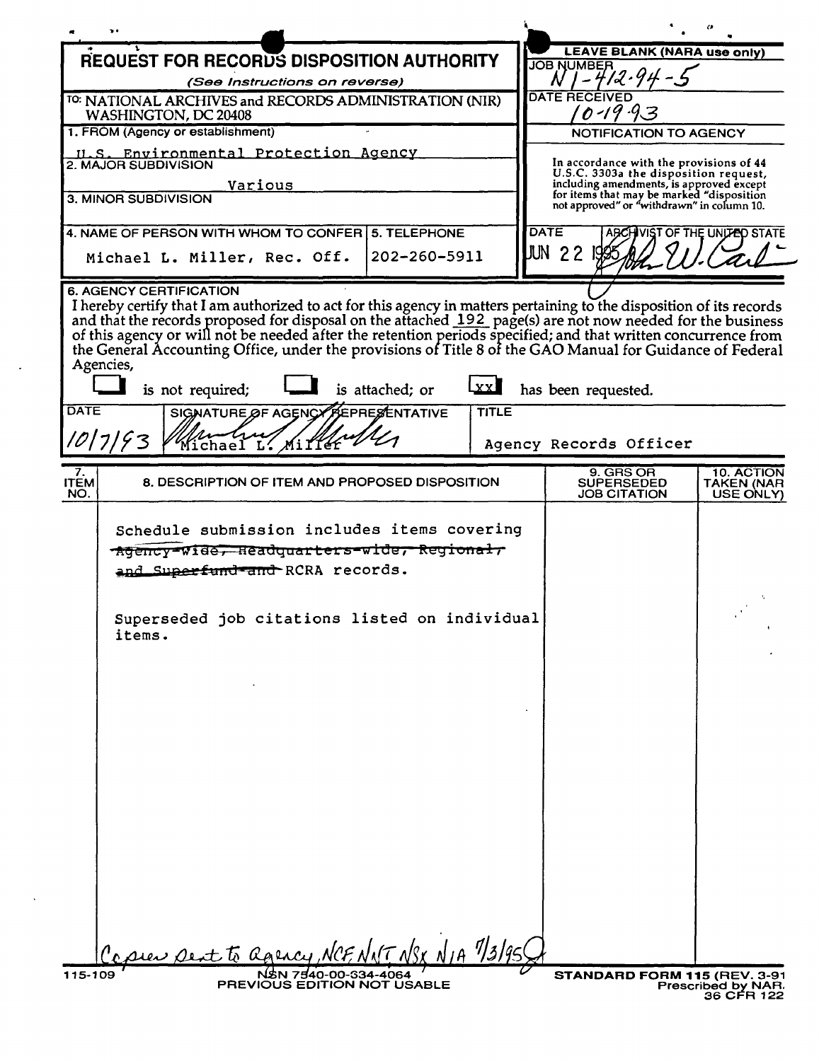|                                                                                                                                                                                                                                      | NWML                                                                                                         |
|--------------------------------------------------------------------------------------------------------------------------------------------------------------------------------------------------------------------------------------|--------------------------------------------------------------------------------------------------------------|
| <b>REQUEST FOR RECORDS DISPOSITION AUTHORITY</b>                                                                                                                                                                                     | <b>LEAVE BLANK (NARA use only)</b>                                                                           |
| (See Instructions on reverse)                                                                                                                                                                                                        | <b>JOB NUMBER</b><br>$1 - 412.94 - 9$<br>N                                                                   |
| <sup>10</sup> : NATIONAL ARCHIVES and RECORDS ADMINISTRATION (NIR)                                                                                                                                                                   | <b>DATE RECEIVED</b>                                                                                         |
| WASHINGTON, DC 20408<br>1. FROM (Agency or establishment)                                                                                                                                                                            | $0 - 19$<br>NOTIFICATION TO AGENCY                                                                           |
| U.S. Environmental Protection Agency                                                                                                                                                                                                 |                                                                                                              |
| 2. MAJOR SUBDIVISION                                                                                                                                                                                                                 | In accordance with the provisions of 44<br>U.S.C. 3303a the disposition request,                             |
| Various<br>3. MINOR SUBDIVISION                                                                                                                                                                                                      | including amendments, is approved except<br>for items that may be marked "disposition                        |
|                                                                                                                                                                                                                                      | not approved" or "withdrawn" in column 10.                                                                   |
| 4. NAME OF PERSON WITH WHOM TO CONFER   5. TELEPHONE                                                                                                                                                                                 | <b>DATE</b><br>ABCHIVIST OF THE UNITED STATE                                                                 |
| 202-260-5911<br>Michael L. Miller, Rec. Off.                                                                                                                                                                                         | <b>JUN 22</b>                                                                                                |
| <b>6. AGENCY CERTIFICATION</b>                                                                                                                                                                                                       |                                                                                                              |
| I hereby certify that I am authorized to act for this agency in matters pertaining to the disposition of its records                                                                                                                 |                                                                                                              |
| and that the records proposed for disposal on the attached 192 page(s) are not now needed for the business<br>of this agency or will not be needed after the retention periods specified; and that written concurrence from<br>the G |                                                                                                              |
|                                                                                                                                                                                                                                      |                                                                                                              |
| Agencies,<br>$\mathbf{X} \mathbf{X}$<br>is not required;<br>is attached; or                                                                                                                                                          | has been requested.                                                                                          |
| DATE<br><b>PEPRESENTATIVE</b><br><b>TITLE</b><br>SIGNATURE OF AGENCY                                                                                                                                                                 |                                                                                                              |
| 10/7/93<br>Michael L.                                                                                                                                                                                                                | Agency Records Officer                                                                                       |
|                                                                                                                                                                                                                                      |                                                                                                              |
| 7.<br>8. DESCRIPTION OF ITEM AND PROPOSED DISPOSITION<br><b>ITEM</b><br>NO.                                                                                                                                                          | 9. GRS OR<br><b>10. ACTION</b><br><b>SUPERSEDED</b><br><b>TAKEN (NAR</b><br><b>JOB CITATION</b><br>USE ONLY) |
| Schedule submission includes items covering<br>Agency-Wide, Headquarters-wide, Regional,<br>and Superfund and RCRA records.<br>Superseded job citations listed on individual<br>items.                                               |                                                                                                              |
|                                                                                                                                                                                                                                      |                                                                                                              |
| $17$ $N$ SK $N$ IA $7/3/95$<br>sier sext to agency<br>NSN 7540-00-334-4064                                                                                                                                                           |                                                                                                              |

 $\sim$ 

 $\sim$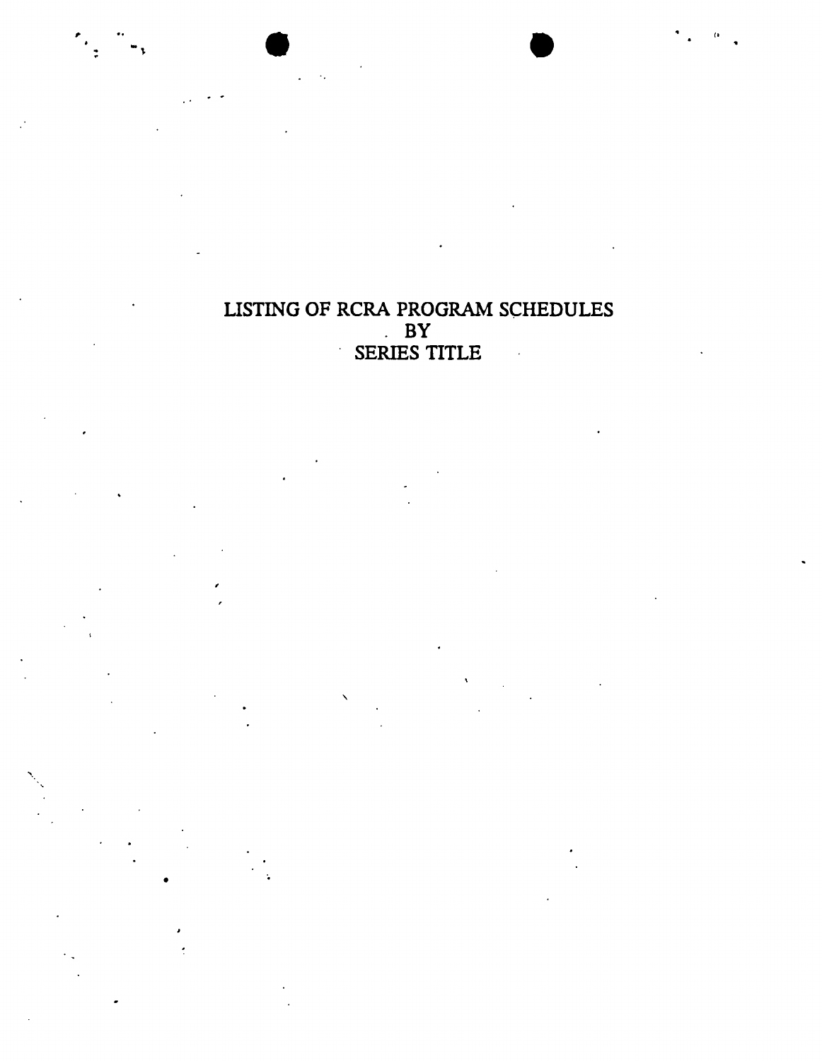LISTING OF RCRA PROGRAM SCHEDULES  $\mathbf{B}$ SERIES TITLE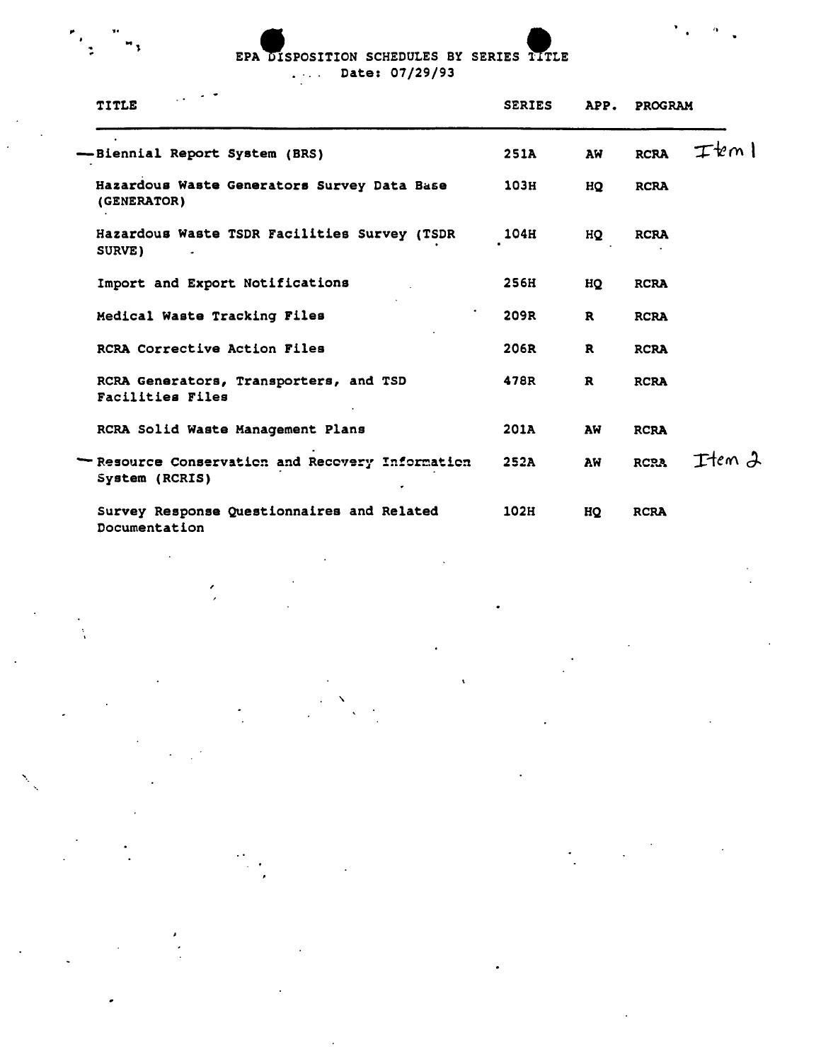# EPA DISPOSITION SCHEDULES BY SERIES TITLE Date: 07/29/93

 $\frac{1}{2}$ 

| <b>TITLE</b>                                                       | <b>SERIES</b> | APP.         | <b>PROGRAM</b> |        |
|--------------------------------------------------------------------|---------------|--------------|----------------|--------|
| -Biennial Report System (BRS)                                      | 251A          | AW           | <b>RCRA</b>    | Item I |
| Hazardous Waste Generators Survey Data Base<br>(GENERATOR)         | 103н          | HQ           | <b>RCRA</b>    |        |
| Hazardous Waste TSDR Facilities Survey (TSDR<br>SURVE)             | 104H          | HQ           | <b>RCRA</b>    |        |
| Import and Export Notifications                                    | 256H          | HQ           | <b>RCRA</b>    |        |
| Medical Waste Tracking Files                                       | 209R          | $\mathbf{R}$ | <b>RCRA</b>    |        |
| RCRA Corrective Action Files                                       | 206R          | R            | <b>RCRA</b>    |        |
| RCRA Generators, Transporters, and TSD<br>Facilities Files         | 478R          | $\mathbf{R}$ | <b>RCRA</b>    |        |
| RCRA Solid Waste Management Plans                                  | 201A          | AW           | <b>RCRA</b>    |        |
| - Resource Conservation and Recovery Information<br>System (RCRIS) | <b>252A</b>   | AW           | <b>RCRA</b>    | Item 2 |
| Survey Response Questionnaires and Related<br>Documentation        | 102H          | HQ           | <b>RCRA</b>    |        |

,

 $\underset{\sim}{\text{NWML}}$ 

 $\alpha$ <sup>.</sup>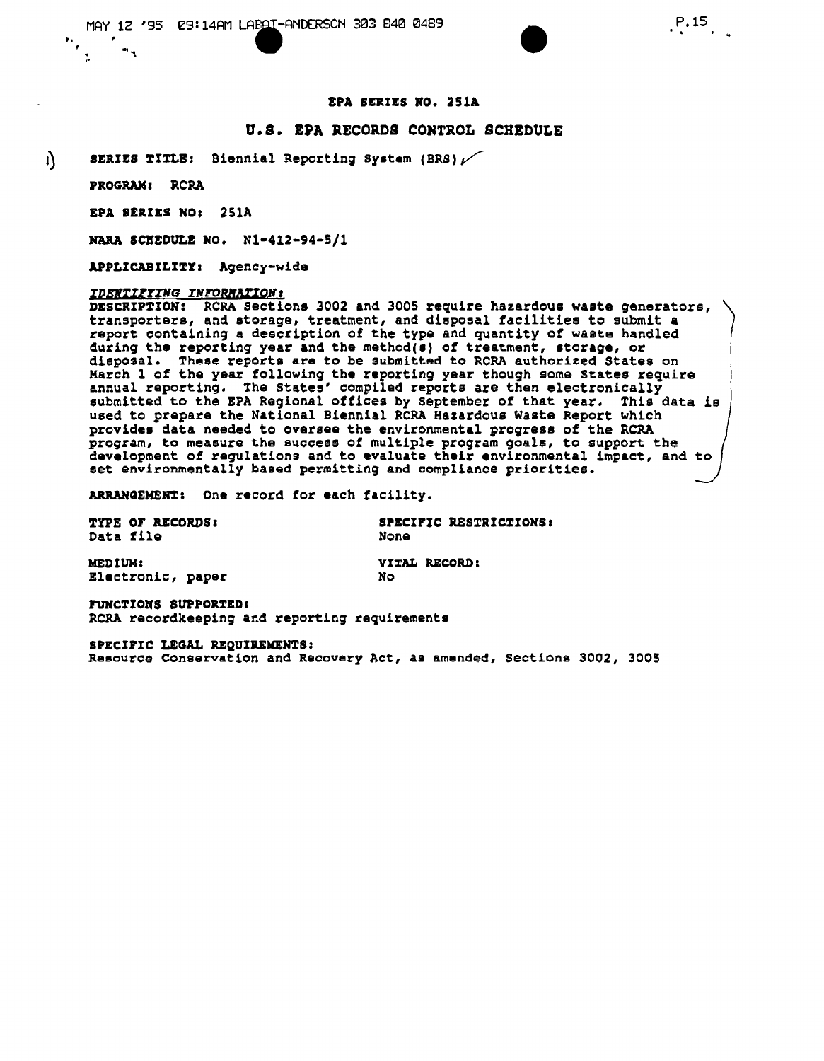# **NWML**

## EPA SERIES RD. 251A

•

#### u.s. EPA RECORDS CONTROL SCHEDULE

 $_{\parallel}$  SERIES TITLE: Biennial Reporting System (BRS)  $\nu$ 

PROGRAM, RCRA

EPA SERIES NO: 25lA

MARA SCHEDULE RO. Nl-412-94-S/1

APPLICABILITY: Agency-wide

#### *lDENuprZNG INTOBlIWQN:*

DESCRIPTION: RCRA Sections 3002 and 3005 require hazardous waste generators, transporters, and storage, treatment, and disposal facilities to submit a report containing a description of the type and quantity of waste handled during the reporting year and the method(s) of treatment, storage, or disposal. These reports are to be submitted to RCRA authorized States on March 1 of the year following the reporting year though some States require annual reporting. The States' compiled reports are then electronically submitted to the EPA Regional offices by September of that year. This data is used to prepare the National Biennial RCRA Hazardous wasta Report which provides data needed to oversee the environmental progress of the RCRA program, to measure the success of multiple program goals, to support the development of regulations and to evaluate their environmental impact, and set environmentally based permitting and compliance priorities.

ARRANGEMENT: One record for each facility.

TYPE OF RECORDS: Data file

SPECIFIC RESTRICTIONS: None

| <b>MEDIUM:</b>    |     | VITAL RECORD: |
|-------------------|-----|---------------|
| Electronic, paper | No. |               |

FUNCTIONS SUPPORTED! RCRA recordkeeping and reporting requirements

SPECIFIC LEGAL REgUIREMEN7S: Resource Conservation and Reoovery Act, as amended, Sections 3002, 3005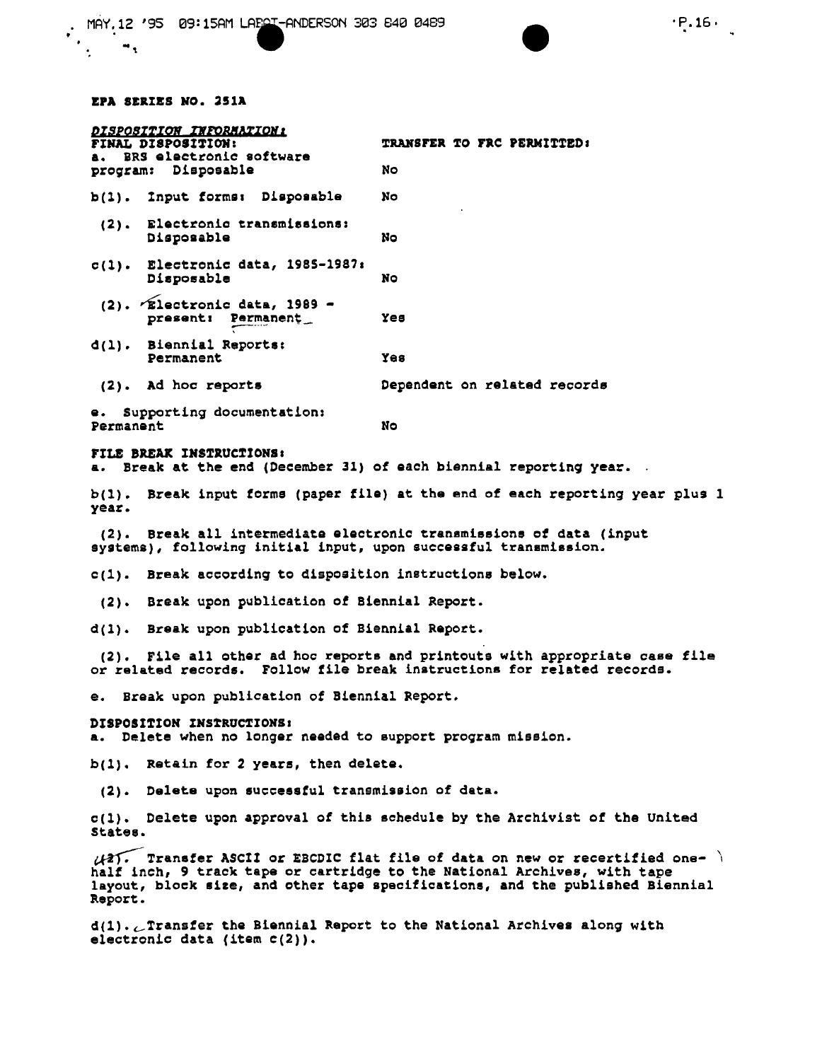#### EPA SEaIZS NO. 25lA

| <i><b>DISPOSITION IMPORMATION:</b></i><br>FINAL DISPOSITION:<br>BRS electronic software |                                                       | TRANSFER TO FRC PERMITTED:   |
|-----------------------------------------------------------------------------------------|-------------------------------------------------------|------------------------------|
|                                                                                         | program: Disposable                                   | No                           |
|                                                                                         | b(1). Input forms: Disposable                         | No                           |
|                                                                                         | (2). Electronic transmissions:<br>Disposable          | No                           |
|                                                                                         | $c(1)$ . Electronic data, 1985-1987:<br>Disposable    | No                           |
|                                                                                         | $(2)$ . Ælectronic data, 1989 -<br>present: Permanent | Yes                          |
|                                                                                         | d(1). Biennial Reports:<br>Permanent                  | Yes                          |
| $(2)$ .                                                                                 | Ad hoc reports                                        | Dependent on related records |

e. Supporting documentation: Permanent No. 2006

# FILE BREAK INSTRuctIONS I

a. Break at the end (December 31) of each biennial reporting year.

bel). Break input torms (paper file) at the end of each reporting year plus 1 year.

(2). Break all intermediate electronic transmissions *ot* data (input systems), followinq initial input, upon successful transmission.

c(l). Break according to disposition instructions below.

(2). Break upon publication of Biennial Report.

d(1). Break upon publication of Biennial Report.

(2). File all other ad hoc reports and printouts with appropriate case file or related records. Follow file break instructions for related records.

e. Break upon publication of Biennial Report.

DISPOSITION INSTRUCTIONS: a. Delete when no longer needed to support program mission.

 $b(1)$ . Retain for 2 years, then delete.

(2). Delete upon successful transmission of data.

e(l). Celete upon approval of this sohedule by the Archivist of the United States.

 $\sqrt{21}$ . Transfer ASCII or EBCDIC flat file of data on new or recertified onehalf inch, 9 track tape or cartridge to the National Archives, with tape layout, block size, and other tape specifications, and the published Biennial Report.

 $d(1)$ .  $C$  Transfer the Biennial Report to the National Archives along with electronic data (item c(2)).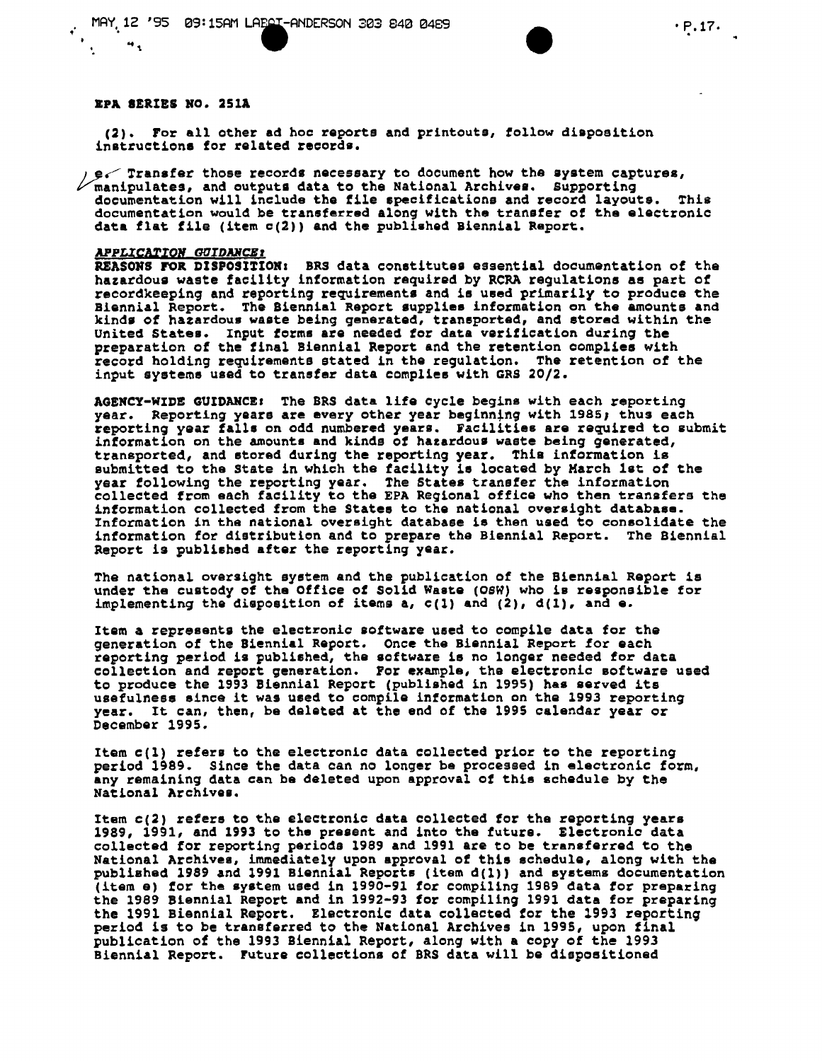# **NWML**

# EPA SERIES NO. 251A

 $\ddot{\bullet}$ 

(2). For all other ad hoc reports and printouts, tollow diaposition instructions for related records.

 $e$  Transfer those records necessary to document how the system captures,  $\nu$  manipulates, and outputs data to the National Archives. Supporting documentation will include the file specifications and record layouts. This documentation would be transferred along with the transfer of the electronic data flat file (item c(2)) and the published Biennial Report.

#### *APPgCAlIOlf Gl1IDMCBl*

REASONS FOR DISPOSITION: BRS data constitutes essential documentation of the hazardous waste facility information required by RCRA regulations as part of recordkeeping and reporting requirements and is used primarily to produce the Biennial Report. The Biennial Report supplies information on the amounts and kinds of hazardous waste being generated, transported, and stored within the United States. Input forms are needed for data verification during the preparation of the final Biennial Report and the retention oomplies with record holding requirements stated in the regulation. The retention of the input syeteme used to transfer data complies with GRS 20/2.

AGENCY-WIDE GUIDANCE: The BRS data life cycle begins with each reporting year. Reporting years are every other year beginning with 1985; thus each reporting year falls on odd numbered years. facilities are required to submit information on the amounts and kinds of hazardous waste being generated, transported, and stored during the reporting year. fhia information is submitted to the State in which the facility is located by March 1st of the year following the reporting year. The States transfer the informatio collected from each facility to the EPA Regional office who then transfers the information collected from the Statee to the national oversight database. Information in the national oversight database ie then used to consolidate the information for distribution and to prepare the Biennial Report. The Biennial Report is published after the reporting year.

The national oversight system and the publication of the Biennial Report 1s under the custody of the Office of Solid Waste (OSW) who is responsible for implementing the disposition of items a,  $c(1)$  and  $(2)$ ,  $d(1)$ , and e.

Item a represents the electronic software used to compile data for the generation of the Biennial Report. Once the Biennial Report for each reporting period is published, the software is no longer needed for data collectlon and report generation. For example, the electronic Boftware used to produce the 1993 Biennial Report (published in 1995) has served its usefulness since it was used to compile information on the 1993 reporting year. It can, then, be delated at the end of the 1995 calendar year or December 1995.

Item c(1) refers to the electronio data collected prior to the reporting period 1989. Since the data can no longer be processed in electronic form, any remaining data can be deleted upon approval of this schedule by the National Archivel.

Item c(2) refers to the electronic data collected for the reporting years 1989, 1991, and 1993 to the present and into the future. Electronic data collected for reporting periods 1989 and 1991 are to be transferred to the National Archives, immediately upon approval of thie schedule, along with the published 1989 and 1991 Biennial Reports (item d(1)) and systems documentation (item a) for the system used in 1990-91 for compiling 1989 data for preparing the 1989 Biennial Report and in 1992-93 for compiling 1991 data for preparing the 1991 Biennial Report. Electronic data collected for the 1993 reporting period is to be transferred to the National Archives in 1995, upon final publication of the 1993 Biennial Report, along with a copy of the 1993 Biennial Report. Future collections of BRS data will be dispoeltioned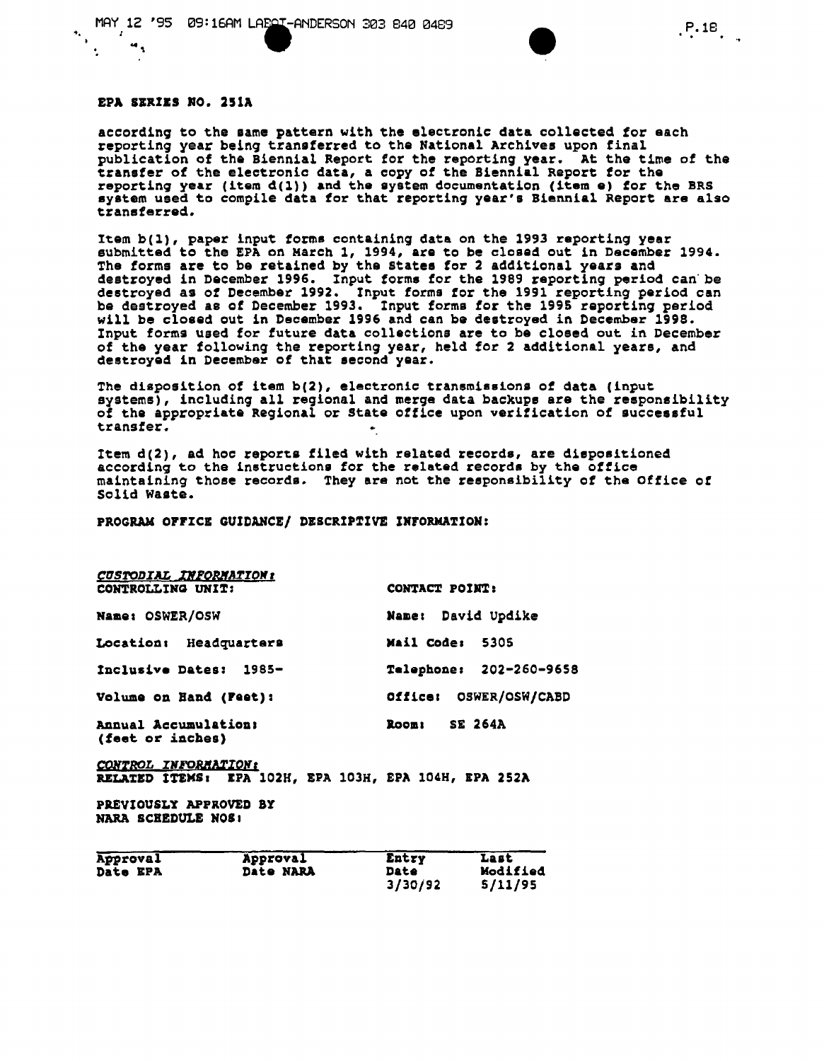

**NWML** 

## EPA SEXIES NO. 251A

"

according to the same pattern with the electronic data collected for each reporting year being transferred to the National Archives upon final publication of the Biennial Report for the reporting year. At the time of the transter of the electronic data, a copy of the Biennial Report tor the reporting year (item  $d(1)$ ) and the system documentation (item e) for the BRS system used to compile data tor that reporting year's Biennial Report are also transferred.

Item b(l), paper input torms containing data on the 1993 reporting year submitted to the EPA on Karch 1, 1994, are to be closed out in December 1994. The forms are to be retained by the states for 2 additional years and destroyed in Deeember 1996. Input torms for the 1989 reporting period can" be destroyed as of December 1992. Input forms for the 1991 reporting period can be destroyed as of December 1993. Input forms for the 1995 reporting period will be closed out 1n December 1996 and can be destroyed in December 1998. Input forms used for future data collections are to be closed out in December of the year following the reporting year, held for 2 additional years, and destroyed in December of that second year.

The disposition of item b(2), electronic transmissions of data (input systems), including all regional and merge data backups are the responsibility of the appropriate Regional or state office upon verification of successful transfer.

Item d(2), ad hoc reports filed with related records, are dispositioned according to the instructions for the related records by the office maintaining those records. They are not the responsibility of the Office of Solid Waste.

#### PROGRAM OFFICE GUIDANCE/ DESCRIPTIVE INFORMATION:

| <b>CUSTODIAL INFORMATION:</b>            |                         |  |  |  |
|------------------------------------------|-------------------------|--|--|--|
| CONTROLLING UNIT:                        | CONTACT POINT:          |  |  |  |
| Name: OSWER/OSW                          | Name: David Updike      |  |  |  |
| Location: Headquarters                   | Mail Code:<br>5305      |  |  |  |
| Inclusive Dates: 1985-                   | Telephone: 202-260-9658 |  |  |  |
| Volume on Hand (Feet):                   | Office: OSWER/OSW/CABD  |  |  |  |
| Annual Accumulation:<br>(feet or inches) | SE 264A<br>Room:        |  |  |  |

CONTROL INFORMATION<sub>I</sub> RELATED ITEMS: EPA 102H, EPA 103H, EPA 104H, EPA 252A

PREVIOUSLY APPROVED BY NARA SCHEDULE NOS!

| Approval        | Approval         | Entry   | Last            |
|-----------------|------------------|---------|-----------------|
| <b>Date EPA</b> | <b>Date NARA</b> | Date    | <b>Modified</b> |
|                 |                  | 3/30/92 | 5/11/95         |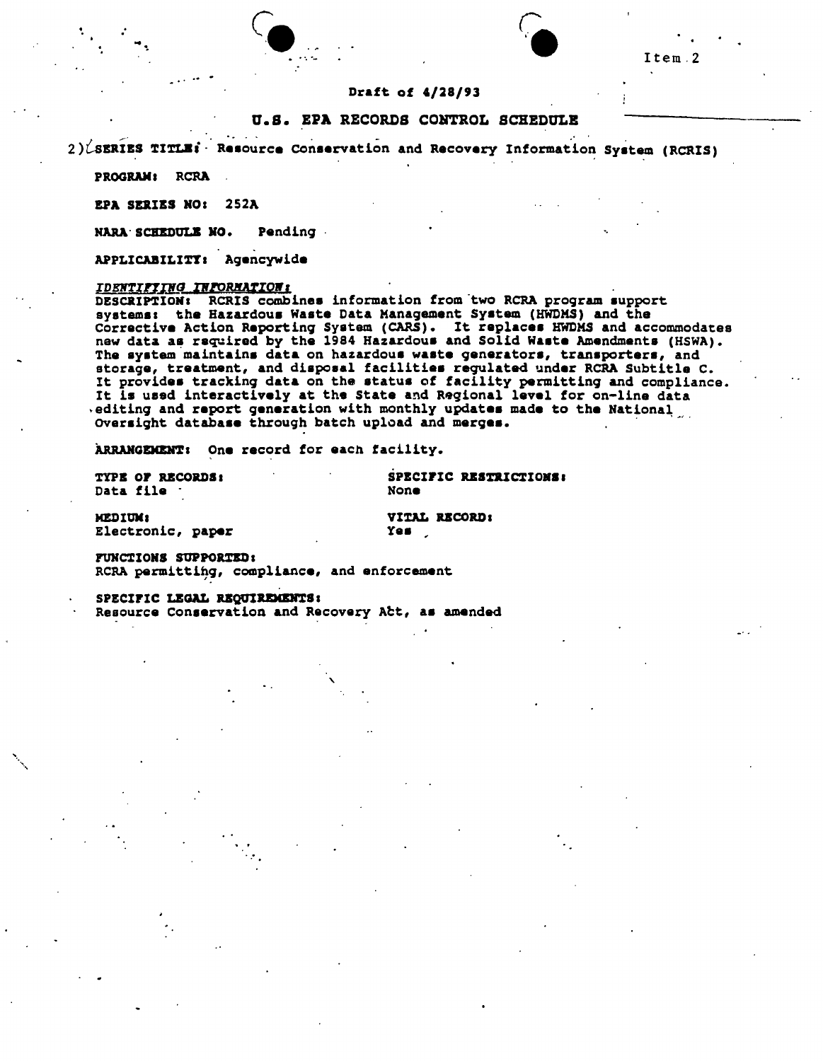# Draft of 4/28/93

### U.S. EPA RECORDS CONTROL SCHEDULE

2) LSERIES TITLE: Resource Conservation and Recovery Information System (RCRIS)

PROGRAM: RCRA

**EPA SERIES NO: 252A** 

Pending NARA SCHEDULE NO.

APPLICABILITY: Agencywide

### <u>IDENTIFIING INFORMATION:</u>

DESCRIPTION: RCRIS combines information from two RCRA program support systems: the Hazardous Waste Data Management System (HWDMS) and the Corrective Action Reporting System (CARS). It replaces HWDMS and accommodates<br>new data as required by the 1984 Hazardous and Solid Waste Amendments (HSWA). The system maintains data on hazardous waste generators, transporters, and storage, treatment, and disposal facilities regulated under RCRA Subtitle C.<br>It provides tracking data on the status of facility permitting and compliance. It is used interactively at the State and Regional level for on-line data editing and report generation with monthly updates made to the National Oversight database through batch upload and merges.

ARRANGEMENT: One record for each facility.

| <b>TYPE OF RECORDS:</b> |  | <b>SPECI</b> |
|-------------------------|--|--------------|
| <b>Data file</b> ·      |  | None         |

FIC RESTRICTIONS:

MEDIUM: Electronic, paper

VITAL RECORD: Yes g

FUNCTIONS SUPPORTED: RCRA permitting, compliance, and enforcement

SPECIFIC LEGAL REQUIREMENTS: Resource Conservation and Recovery Act, as amended NWML

Ttem<sub>2</sub>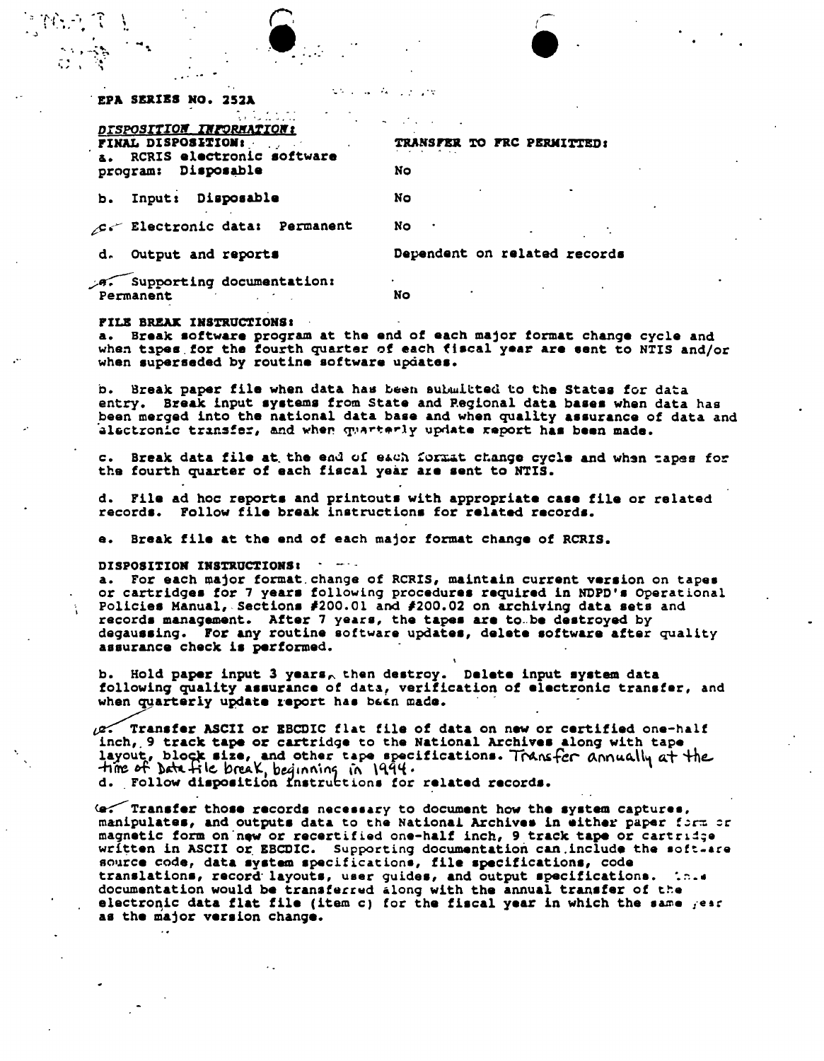| ep <b>a series no. 252a</b> |                                    |  |  |  |
|-----------------------------|------------------------------------|--|--|--|
|                             |                                    |  |  |  |
|                             | <b>Provident Contract Contract</b> |  |  |  |

the control of the

NWML

| DISPOSITION INFORMATION:<br>FINAL DISPOSITION:<br>a. RCRIS electronic software | TRANSFER TO FRC PERMITTED:   |
|--------------------------------------------------------------------------------|------------------------------|
| program: Disposable                                                            | No                           |
| Input: Disposable<br>b.                                                        | No                           |
| C. Electronic data: Permanent                                                  | No                           |
| d. Output and reports                                                          | Dependent on related records |
| A. Supporting documentation:<br>Permanent                                      | No                           |

#### FILE BREAK INSTRUCTIONS:

a. Break software program at the end of each major format change cycle and when tapes for the fourth quarter of each fiscal year are sent to NTIS and/or when superseded by routine software updates.

b. Break paper file when data has been submitted to the States for data entry. Break input systems from State and Regional data bases when data has been merged into the national data base and when quality assurance of data and alectronic transfer, and when quarterly update report has been made.

c. Break data file at the end of each format change cycle and when tapes for the fourth quarter of each fiscal year are sent to NTIS.

d. File ad hoc reports and printouts with appropriate case file or related records. Follow file break instructions for related records.

e. Break file at the end of each major format change of RCRIS.

#### DISPOSITION INSTRUCTIONS:

a. For each major format change of RCRIS, maintain current version on tapes or cartridges for 7 years following procedures required in NDPD's Operational Policies Manual, Sections #200.01 and #200.02 on archiving data sets and records management. After 7 years, the tapes are to be destroyed by degaussing. For any routine software updates, delete software after quality assurance check is performed.

b. Hold paper input 3 years, then destroy. Delete input system data following quality assurance of data, verification of electronic transfer, and when quarterly update report has been made.

(p. Transfer ASCII or EBCDIC flat file of data on new or certified one-half inch, 9 track tape or cartridge to the National Archives along with tape layout, block size, and other tape specifications. Transfer annually at the time of batt file break, beginning in 1994.

(e. Transfer those records necessary to document how the system captures, manipulates, and outputs data to the National Archives in either paper form or magnetic form on new or recertified one-half inch, 9 track tape or cartridge written in ASCII or EBCDIC. Supporting documentation can include the soft-are source code, data system specifications, file specifications, code translations, record layouts, user guides, and output specifications. documentation would be transferred along with the annual transfer of the electronic data flat file (item c) for the fiscal year in which the same year as the major version change.